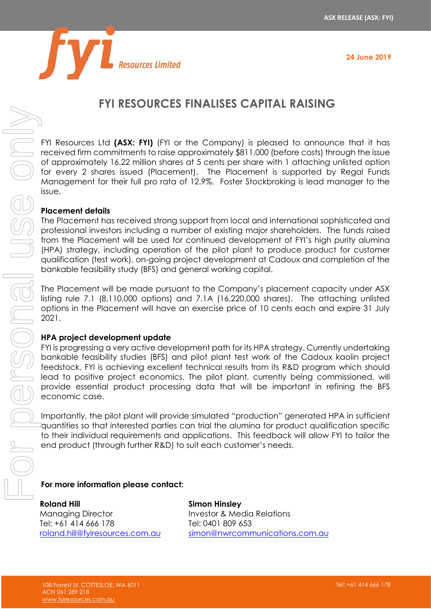

**24 June 2019**

# **FYI RESOURCES FINALISES CAPITAL RAISING**

FYI Resources Ltd **(ASX: FYI)** (FYI or the Company) is pleased to announce that it has received firm commitments to raise approximately \$811,000 (before costs) through the issue of approximately 16.22 million shares at 5 cents per share with 1 attaching unlisted option for every 2 shares issued (Placement). The Placement is supported by Regal Funds Management for their full pro rata of 12.9%. Foster Stockbroking is lead manager to the issue.

### **Placement details**

The Placement has received strong support from local and international sophisticated and professional investors including a number of existing major shareholders. The funds raised from the Placement will be used for continued development of FYI's high purity alumina (HPA) strategy, including operation of the pilot plant to produce product for customer qualification (test work), on-going project development at Cadoux and completion of the bankable feasibility study (BFS) and general working capital.

The Placement will be made pursuant to the Company's placement capacity under ASX listing rule 7.1 (8,110,000 options) and 7.1A (16,220,000 shares). The attaching unlisted options in the Placement will have an exercise price of 10 cents each and expire 31 July 2021.

#### **HPA project development update**

FYI is progressing a very active development path for its HPA strategy. Currently undertaking bankable feasibility studies (BFS) and pilot plant test work of the Cadoux kaolin project feedstock, FYI is achieving excellent technical results from its R&D program which should lead to positive project economics. The pilot plant, currently being commissioned, will provide essential product processing data that will be important in refining the BFS economic case.

Importantly, the pilot plant will provide simulated "production" generated HPA in sufficient quantities so that interested parties can trial the alumina for product qualification specific to their individual requirements and applications. This feedback will allow FYI to tailor the end product (through further R&D) to suit each customer's needs.

#### **For more information please contact:**

**Roland Hill** Managing Director Tel: +61 414 666 178 [roland.hill@fyiresources.com.au](mailto:roland.hill@fyiresources.com.au) **Simon Hinsley** Investor & Media Relations Tel: 0401 809 653 [simon@nwrcommunications.com.au](mailto:simon@nwrcommunications.com.au)